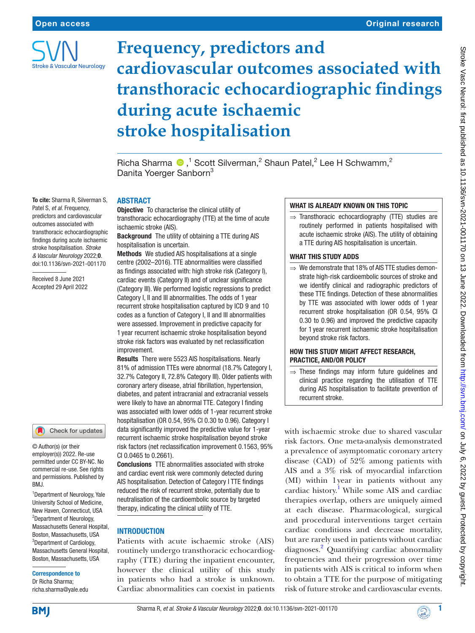

# **Frequency, predictors and cardiovascular outcomes associated with transthoracic echocardiographic findings during acute ischaemic stroke hospitalisation**

Richa Sharma  $\bigcirc$ ,<sup>1</sup> Scott Silverman,<sup>2</sup> Shaun Patel,<sup>2</sup> Lee H Schwamm,<sup>2</sup> Danita Yoerger Sanborn<sup>3</sup>

#### To cite: Sharma R, Silverman S, Patel S, *et al*. Frequency, predictors and cardiovascular outcomes associated with transthoracic echocardiographic findings during acute ischaemic stroke hospitalisation. *Stroke & Vascular Neurology* 2022;0. doi:10.1136/svn-2021-001170

Received 8 June 2021 Accepted 29 April 2022

## Check for updates

© Author(s) (or their employer(s)) 2022. Re-use permitted under CC BY-NC. No commercial re-use. See rights and permissions. Published by BMJ.

<sup>1</sup> Department of Neurology, Yale University School of Medicine, New Haven, Connecticut, USA <sup>2</sup>Department of Neurology, Massachusetts General Hospital, Boston, Massachusetts, USA <sup>3</sup>Department of Cardiology, Massachusetts General Hospital, Boston, Massachusetts, USA

#### Correspondence to

Dr Richa Sharma; richa.sharma@yale.edu

## ABSTRACT

**Objective** To characterise the clinical utility of transthoracic echocardiography (TTE) at the time of acute ischaemic stroke (AIS).

Background The utility of obtaining a TTE during AIS hospitalisation is uncertain.

Methods We studied AIS hospitalisations at a single centre (2002–2016). TTE abnormalities were classified as findings associated with: high stroke risk (Category I), cardiac events (Category II) and of unclear significance (Category III). We performed logistic regressions to predict Category I, II and III abnormalities. The odds of 1 year recurrent stroke hospitalisation captured by ICD 9 and 10 codes as a function of Category I, II and III abnormalities were assessed. Improvement in predictive capacity for 1 year recurrent ischaemic stroke hospitalisation beyond stroke risk factors was evaluated by net reclassification **improvement** 

Results There were 5523 AIS hospitalisations. Nearly 81% of admission TTEs were abnormal (18.7% Category I, 32.7% Category II, 72.8% Category III). Older patients with coronary artery disease, atrial fibrillation, hypertension, diabetes, and patent intracranial and extracranial vessels were likely to have an abnormal TTE. Category I finding was associated with lower odds of 1-year recurrent stroke hospitalisation (OR 0.54, 95% CI 0.30 to 0.96). Category I data significantly improved the predictive value for 1-year recurrent ischaemic stroke hospitalisation beyond stroke risk factors (net reclassification improvement 0.1563, 95% CI 0.0465 to 0.2661).

Conclusions TTE abnormalities associated with stroke and cardiac event risk were commonly detected during AIS hospitalisation. Detection of Category I TTE findings reduced the risk of recurrent stroke, potentially due to neutralisation of the cardioembolic source by targeted therapy, indicating the clinical utility of TTE.

## INTRODUCTION

Patients with acute ischaemic stroke (AIS) routinely undergo transthoracic echocardiography (TTE) during the inpatient encounter, however the clinical utility of this study in patients who had a stroke is unknown. Cardiac abnormalities can coexist in patients

# WHAT IS ALREADY KNOWN ON THIS TOPIC

 $\Rightarrow$  Transthoracic echocardiography (TTE) studies are routinely performed in patients hospitalised with acute ischaemic stroke (AIS). The utility of obtaining a TTE during AIS hospitalisation is uncertain.

## WHAT THIS STUDY ADDS

 $\Rightarrow$  We demonstrate that 18% of AIS TTE studies demonstrate high-risk cardioembolic sources of stroke and we identify clinical and radiographic predictors of these TTE findings. Detection of these abnormalities by TTE was associated with lower odds of 1 year recurrent stroke hospitalisation (OR 0.54, 95% CI 0.30 to 0.96) and improved the predictive capacity for 1 year recurrent ischaemic stroke hospitalisation beyond stroke risk factors.

## HOW THIS STUDY MIGHT AFFECT RESEARCH, PRACTICE, AND/OR POLICY

 $\Rightarrow$  These findings may inform future guidelines and clinical practice regarding the utilisation of TTE during AIS hospitalisation to facilitate prevention of recurrent stroke.

with ischaemic stroke due to shared vascular risk factors. One meta-analysis demonstrated a prevalence of asymptomatic coronary artery disease (CAD) of 52% among patients with AIS and a 3% risk of myocardial infarction (MI) within 1year in patients without any cardiac history.<sup>[1](#page-10-0)</sup> While some AIS and cardiac therapies overlap, others are uniquely aimed at each disease. Pharmacological, surgical and procedural interventions target certain cardiac conditions and decrease mortality, but are rarely used in patients without cardiac diagnoses[.2](#page-10-1) Quantifying cardiac abnormality frequencies and their progression over time in patients with AIS is critical to inform when to obtain a TTE for the purpose of mitigating risk of future stroke and cardiovascular events.

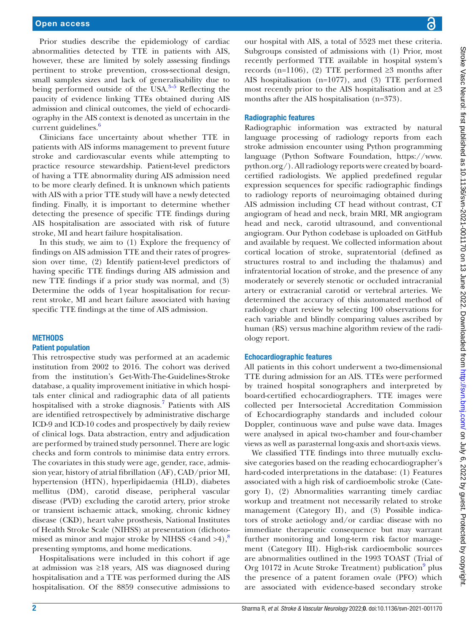Prior studies describe the epidemiology of cardiac abnormalities detected by TTE in patients with AIS, however, these are limited by solely assessing findings pertinent to stroke prevention, cross-sectional design, small samples sizes and lack of generalisability due to being performed outside of the USA. $3-5$  Reflecting the paucity of evidence linking TTEs obtained during AIS admission and clinical outcomes, the yield of echocardiography in the AIS context is denoted as uncertain in the current guidelines. $\frac{6}{5}$  $\frac{6}{5}$  $\frac{6}{5}$ 

Clinicians face uncertainty about whether TTE in patients with AIS informs management to prevent future stroke and cardiovascular events while attempting to practice resource stewardship. Patient-level predictors of having a TTE abnormality during AIS admission need to be more clearly defined. It is unknown which patients with AIS with a prior TTE study will have a newly detected finding. Finally, it is important to determine whether detecting the presence of specific TTE findings during AIS hospitalisation are associated with risk of future stroke, MI and heart failure hospitalisation.

In this study, we aim to (1) Explore the frequency of findings on AIS admission TTE and their rates of progression over time, (2) Identify patient-level predictors of having specific TTE findings during AIS admission and new TTE findings if a prior study was normal, and (3) Determine the odds of 1year hospitalisation for recurrent stroke, MI and heart failure associated with having specific TTE findings at the time of AIS admission.

## **METHODS**

## Patient population

This retrospective study was performed at an academic institution from 2002 to 2016. The cohort was derived from the institution's Get-With-The-Guidelines-Stroke database, a quality improvement initiative in which hospitals enter clinical and radiographic data of all patients hospitalised with a stroke diagnosis.<sup>7</sup> Patients with AIS are identified retrospectively by administrative discharge ICD-9 and ICD-10 codes and prospectively by daily review of clinical logs. Data abstraction, entry and adjudication are performed by trained study personnel. There are logic checks and form controls to minimise data entry errors. The covariates in this study were age, gender, race, admission year, history of atrial fibrillation (AF), CAD/prior MI, hypertension (HTN), hyperlipidaemia (HLD), diabetes mellitus (DM), carotid disease, peripheral vascular disease (PVD) excluding the carotid artery, prior stroke or transient ischaemic attack, smoking, chronic kidney disease (CKD), heart valve prosthesis, National Institutes of Health Stroke Scale (NIHSS) at presentation (dichotomised as minor and major stroke by NIHSS  $\leq 4$  and  $\geq 4$ ),<sup>[8](#page-10-5)</sup> presenting symptoms, and home medications.

Hospitalisations were included in this cohort if age at admission was ≥18 years, AIS was diagnosed during hospitalisation and a TTE was performed during the AIS hospitalisation. Of the 8859 consecutive admissions to

our hospital with AIS, a total of 5523 met these criteria. Subgroups consisted of admissions with (1) Prior, most recently performed TTE available in hospital system's records (n=1106), (2) TTE performed ≥3 months after AIS hospitalisation (n=1077), and (3) TTE performed most recently prior to the AIS hospitalisation and at  $\geq 3$ months after the AIS hospitalisation (n=373).

# Radiographic features

Radiographic information was extracted by natural language processing of radiology reports from each stroke admission encounter using Python programming language (Python Software Foundation, [https://www.](https://www.python.org/) [python.org/\)](https://www.python.org/). All radiology reports were created by boardcertified radiologists. We applied predefined regular expression sequences for specific radiographic findings to radiology reports of neuroimaging obtained during AIS admission including CT head without contrast, CT angiogram of head and neck, brain MRI, MR angiogram head and neck, carotid ultrasound, and conventional angiogram. Our Python codebase is uploaded on GitHub and available by request. We collected information about cortical location of stroke, supratentorial (defined as structures rostral to and including the thalamus) and infratentorial location of stroke, and the presence of any moderately or severely stenotic or occluded intracranial artery or extracranial carotid or vertebral arteries. We determined the accuracy of this automated method of radiology chart review by selecting 100 observations for each variable and blindly comparing values ascribed by human (RS) versus machine algorithm review of the radiology report.

## Echocardiographic features

All patients in this cohort underwent a two-dimensional TTE during admission for an AIS. TTEs were performed by trained hospital sonographers and interpreted by board-certified echocardiographers. TTE images were collected per Intersocietal Accreditation Commission of Echocardiography standards and included colour Doppler, continuous wave and pulse wave data. Images were analysed in apical two-chamber and four-chamber views as well as parasternal long-axis and short-axis views.

We classified TTE findings into three mutually exclusive categories based on the reading echocardiographer's hard-coded interpretations in the database: (1) Features associated with a high risk of cardioembolic stroke (Category I), (2) Abnormalities warranting timely cardiac workup and treatment not necessarily related to stroke management (Category II), and (3) Possible indicators of stroke aetiology and/or cardiac disease with no immediate therapeutic consequence but may warrant further monitoring and long-term risk factor management (Category III). High-risk cardioembolic sources are abnormalities outlined in the 1993 TOAST (Trial of Org 10172 in Acute Stroke Treatment) publication<sup>9</sup> plus the presence of a patent foramen ovale (PFO) which are associated with evidence-based secondary stroke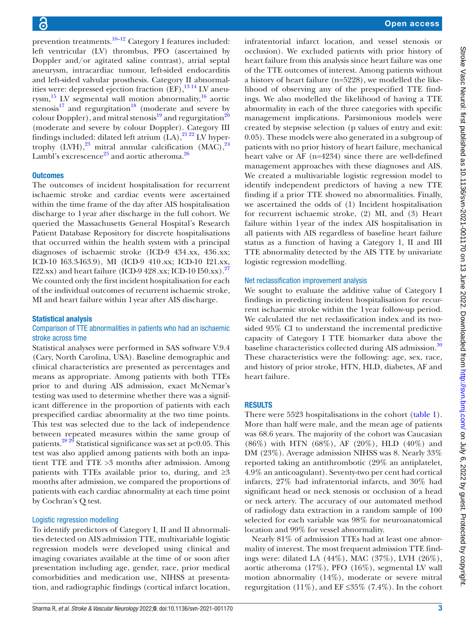prevention treatments.<sup>10–12</sup> Category I features included: left ventricular (LV) thrombus, PFO (ascertained by Doppler and/or agitated saline contrast), atrial septal aneurysm, intracardiac tumour, left-sided endocarditis and left-sided valvular prosthesis. Category II abnormalities were: depressed ejection fraction  $(EF)$ ,  $^{13}$  14 LV aneurysm,<sup>15</sup> LV segmental wall motion abnormality,<sup>16</sup> aortic stenosis $17$  and regurgitation<sup>18</sup> (moderate and severe by colour Doppler), and mitral stenosis<sup>[19](#page-10-13)</sup> and regurgitation<sup>20</sup> (moderate and severe by colour Doppler). Category III findings included: dilated left atrium  $(LA)$ , <sup>21 22</sup> LV hypertrophy  $(LVH),^{23}$  $(LVH),^{23}$  $(LVH),^{23}$  mitral annular calcification  $(MAC),^{24}$ Lambl's excrescence<sup>25</sup> and aortic atheroma.<sup>[26](#page-10-19)</sup>

## **Outcomes**

The outcomes of incident hospitalisation for recurrent ischaemic stroke and cardiac events were ascertained within the time frame of the day after AIS hospitalisation discharge to 1year after discharge in the full cohort. We queried the Massachusetts General Hospital's Research Patient Database Repository for discrete hospitalisations that occurred within the health system with a principal diagnoses of ischaemic stroke (ICD-9 434.xx, 436.xx; ICD-10 I63.3-I63.9), MI (ICD-9 410.xx; ICD-10 I21.xx, I22.xx) and heart failure (ICD-9 428.xx; ICD-10 I50.xx).<sup>27</sup> We counted only the first incident hospitalisation for each of the individual outcomes of recurrent ischaemic stroke, MI and heart failure within 1year after AIS discharge.

## Statistical analysis

## Comparison of TTE abnormalities in patients who had an ischaemic stroke across time

Statistical analyses were performed in SAS software V.9.4 (Cary, North Carolina, USA). Baseline demographic and clinical characteristics are presented as percentages and means as appropriate. Among patients with both TTEs prior to and during AIS admission, exact McNemar's testing was used to determine whether there was a significant difference in the proportion of patients with each prespecified cardiac abnormality at the two time points. This test was selected due to the lack of independence between repeated measures within the same group of patients.<sup>28 29</sup> Statistical significance was set at p<0.05. This test was also applied among patients with both an inpatient TTE and TTE >3 months after admission. Among patients with TTEs available prior to, during, and  $\geq 3$ months after admission, we compared the proportions of patients with each cardiac abnormality at each time point by Cochran's Q test.

## Logistic regression modelling

To identify predictors of Category I, II and II abnormalities detected on AIS admission TTE, multivariable logistic regression models were developed using clinical and imaging covariates available at the time of or soon after presentation including age, gender, race, prior medical comorbidities and medication use, NIHSS at presentation, and radiographic findings (cortical infarct location,

infratentorial infarct location, and vessel stenosis or occlusion). We excluded patients with prior history of heart failure from this analysis since heart failure was one of the TTE outcomes of interest. Among patients without a history of heart failure (n=5228), we modelled the likelihood of observing any of the prespecified TTE findings. We also modelled the likelihood of having a TTE abnormality in each of the three categories with specific management implications. Parsimonious models were created by stepwise selection (p values of entry and exit: 0.05). These models were also generated in a subgroup of patients with no prior history of heart failure, mechanical heart valve or AF (n=4234) since there are well-defined management approaches with these diagnoses and AIS. We created a multivariable logistic regression model to identify independent predictors of having a new TTE finding if a prior TTE showed no abnormalities. Finally, we ascertained the odds of (1) Incident hospitalisation for recurrent ischaemic stroke, (2) MI, and (3) Heart failure within 1year of the index AIS hospitalisation in all patients with AIS regardless of baseline heart failure status as a function of having a Category 1, II and III TTE abnormality detected by the AIS TTE by univariate logistic regression modelling.

## Net reclassification improvement analysis

We sought to evaluate the additive value of Category I findings in predicting incident hospitalisation for recurrent ischaemic stroke within the 1year follow-up period. We calculated the net reclassification index and its twosided 95% CI to understand the incremental predictive capacity of Category I TTE biomarker data above the baseline characteristics collected during AIS admission.<sup>[30](#page-10-22)</sup> These characteristics were the following: age, sex, race, and history of prior stroke, HTN, HLD, diabetes, AF and heart failure.

## RESULTS

There were 5523 hospitalisations in the cohort [\(table](#page-3-0) 1). More than half were male, and the mean age of patients was 68.6 years. The majority of the cohort was Caucasian (86%) with HTN (68%), AF (20%), HLD (40%) and DM (23%). Average admission NIHSS was 8. Nearly 33% reported taking an antithrombotic (29% an antiplatelet, 4.9% an anticoagulant). Seventy-two per cent had cortical infarcts, 27% had infratentorial infarcts, and 30% had significant head or neck stenosis or occlusion of a head or neck artery. The accuracy of our automated method of radiology data extraction in a random sample of 100 selected for each variable was 98% for neuroanatomical location and 99% for vessel abnormality.

Nearly 81% of admission TTEs had at least one abnormality of interest. The most frequent admission TTE findings were: dilated LA (44%), MAC (37%), LVH (26%), aortic atheroma (17%), PFO (16%), segmental LV wall motion abnormality (14%), moderate or severe mitral regurgitation (11%), and  $EF \leq 35\%$  (7.4%). In the cohort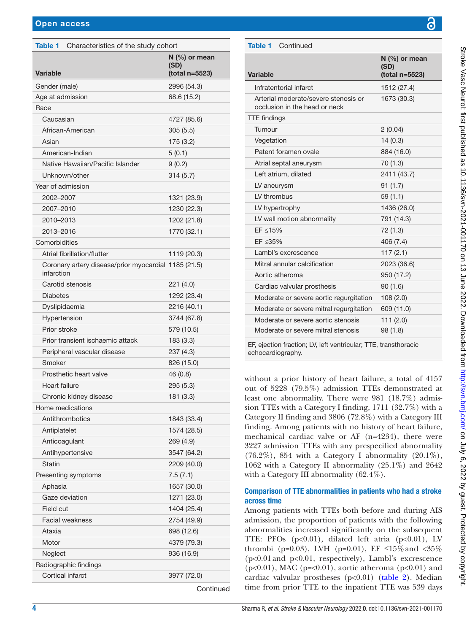<span id="page-3-0"></span>

| Characteristics of the study cohort<br><b>Table 1</b>              |                                           |
|--------------------------------------------------------------------|-------------------------------------------|
| <b>Variable</b>                                                    | $N$ (%) or mean<br>(SD)<br>(total n=5523) |
| Gender (male)                                                      | 2996 (54.3)                               |
| Age at admission                                                   | 68.6 (15.2)                               |
| Race                                                               |                                           |
| Caucasian                                                          | 4727 (85.6)                               |
| African-American                                                   | 305(5.5)                                  |
| Asian                                                              | 175(3.2)                                  |
| American-Indian                                                    | 5(0.1)                                    |
| Native Hawaiian/Pacific Islander                                   | 9(0.2)                                    |
| Unknown/other                                                      | 314(5.7)                                  |
| Year of admission                                                  |                                           |
| 2002-2007                                                          | 1321 (23.9)                               |
| 2007-2010                                                          | 1230 (22.3)                               |
| 2010-2013                                                          | 1202 (21.8)                               |
| 2013-2016                                                          | 1770 (32.1)                               |
| Comorbidities                                                      |                                           |
| <b>Atrial fibrillation/flutter</b>                                 | 1119 (20.3)                               |
| Coronary artery disease/prior myocardial 1185 (21.5)<br>infarction |                                           |
| Carotid stenosis                                                   | 221 (4.0)                                 |
| <b>Diabetes</b>                                                    | 1292 (23.4)                               |
| Dyslipidaemia                                                      | 2216 (40.1)                               |
| Hypertension                                                       | 3744 (67.8)                               |
| Prior stroke                                                       | 579 (10.5)                                |
| Prior transient ischaemic attack                                   | 183 (3.3)                                 |
| Peripheral vascular disease                                        | 237 (4.3)                                 |
| Smoker                                                             | 826 (15.0)                                |
| Prosthetic heart valve                                             | 46 (0.8)                                  |
| Heart failure                                                      | 295(5.3)                                  |
| Chronic kidney disease                                             | 181 (3.3)                                 |
| Home medications                                                   |                                           |
| Antithrombotics                                                    | 1843 (33.4)                               |
| Antiplatelet                                                       | 1574 (28.5)                               |
| Anticoagulant                                                      | 269 (4.9)                                 |
| Antihypertensive                                                   | 3547 (64.2)                               |
| <b>Statin</b>                                                      | 2209 (40.0)                               |
| Presenting symptoms                                                | 7.5(7.1)                                  |
| Aphasia<br>Gaze deviation                                          | 1657 (30.0)                               |
| Field cut                                                          | 1271 (23.0)<br>1404 (25.4)                |
| <b>Facial weakness</b>                                             |                                           |
| Ataxia                                                             | 2754 (49.9)                               |
| Motor                                                              | 698 (12.6)                                |
| Neglect                                                            | 4379 (79.3)<br>936 (16.9)                 |
| Radiographic findings                                              |                                           |
| <b>Cortical infarct</b>                                            | 3977 (72.0)                               |
|                                                                    |                                           |

**Continued** 

| <b>Table 1</b> Continued                                              |                                         |
|-----------------------------------------------------------------------|-----------------------------------------|
| <b>Variable</b>                                                       | N (%) or mean<br>(SD)<br>(total n=5523) |
| Infratentorial infarct                                                | 1512 (27.4)                             |
| Arterial moderate/severe stenosis or<br>occlusion in the head or neck | 1673 (30.3)                             |
| <b>TTE</b> findings                                                   |                                         |
| Tumour                                                                | 2(0.04)                                 |
| Vegetation                                                            | 14(0.3)                                 |
| Patent foramen ovale                                                  | 884 (16.0)                              |
| Atrial septal aneurysm                                                | 70(1.3)                                 |
| Left atrium, dilated                                                  | 2411 (43.7)                             |
| LV aneurysm                                                           | 91(1.7)                                 |
| LV thrombus                                                           | 59(1.1)                                 |
| LV hypertrophy                                                        | 1436 (26.0)                             |
| LV wall motion abnormality                                            | 791 (14.3)                              |
| EF ≤15%                                                               | 72 (1.3)                                |
| EF ≤35%                                                               | 406 (7.4)                               |
| Lambl's excrescence                                                   | 117(2.1)                                |
| Mitral annular calcification                                          | 2023 (36.6)                             |
| Aortic atheroma                                                       | 950 (17.2)                              |
| Cardiac valvular prosthesis                                           | 90(1.6)                                 |
| Moderate or severe aortic regurgitation                               | 108(2.0)                                |
| Moderate or severe mitral regurgitation                               | 609 (11.0)                              |
| Moderate or severe aortic stenosis                                    | 111(2.0)                                |
| Moderate or severe mitral stenosis                                    | 98(1.8)                                 |
| FF election freetient U. Left ventrieuler TTF trengtheresie           |                                         |

TTE findings of the findings of the findings of the findings of the final state of the final state of the final state of the final state of the final state of the final state of the final state of the final state of the fi

EF, ejection fraction; LV, left ventricular; TTE, transthoracic echocardiography.

without a prior history of heart failure, a total of 4157 out of 5228 (79.5%) admission TTEs demonstrated at least one abnormality. There were 981 (18.7%) admission TTEs with a Category I finding, 1711 (32.7%) with a Category II finding and 3806 (72.8%) with a Category III finding. Among patients with no history of heart failure, mechanical cardiac valve or AF (n=4234), there were 3227 admission TTEs with any prespecified abnormality  $(76.2\%)$ , 854 with a Category I abnormality  $(20.1\%)$ , 1062 with a Category II abnormality (25.1%) and 2642 with a Category III abnormality (62.4%).

## Comparison of TTE abnormalities in patients who had a stroke across time

Among patients with TTEs both before and during AIS admission, the proportion of patients with the following abnormalities increased significantly on the subsequent TTE: PFOs  $(p<0.01)$ , dilated left atria  $(p<0.01)$ , LV thrombi (p=0.03), LVH (p=0.01), EF  $\leq 15\%$  and  $< 35\%$ (p<0.01and p<0.01, respectively), Lambl's excrescence  $(p<0.01)$ , MAC ( $p=<0.01$ ), aortic atheroma ( $p<0.01$ ) and cardiac valvular prostheses  $(p<0.01)$  [\(table](#page-4-0) 2). Median time from prior TTE to the inpatient TTE was 539 days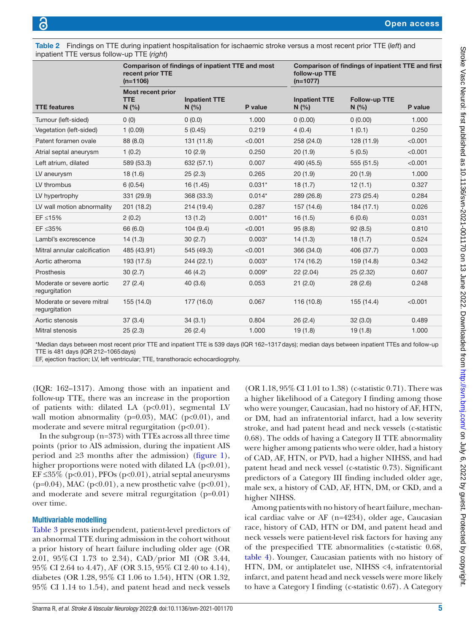<span id="page-4-0"></span>

| Table 2 Findings on TTE during inpatient hospitalisation for ischaemic stroke versus a most recent prior TTE (left) and |
|-------------------------------------------------------------------------------------------------------------------------|
| inpatient TTE versus follow-up TTE (right)                                                                              |

|                                            | recent prior TTE<br>$(n=1106)$                  | Comparison of findings of inpatient TTE and most |          | follow-up TTE<br>$(n=1077)$ | Comparison of findings of inpatient TTE and first |         |
|--------------------------------------------|-------------------------------------------------|--------------------------------------------------|----------|-----------------------------|---------------------------------------------------|---------|
| <b>TTE features</b>                        | <b>Most recent prior</b><br><b>TTE</b><br>N (%) | <b>Inpatient TTE</b><br>N(%                      | P value  | <b>Inpatient TTE</b><br>N(% | Follow-up TTE<br>N(%)                             | P value |
| Tumour (left-sided)                        | 0(0)                                            | 0(0.0)                                           | 1.000    | (0.00)                      | 0(0.00)                                           | 1.000   |
| Vegetation (left-sided)                    | 1(0.09)                                         | 5(0.45)                                          | 0.219    | 4(0.4)                      | 1(0.1)                                            | 0.250   |
| Patent foramen ovale                       | 88 (8.0)                                        | 131 (11.8)                                       | < 0.001  | 258 (24.0)                  | 128(11.9)                                         | < 0.001 |
| Atrial septal aneurysm                     | 1(0.2)                                          | 10(2.9)                                          | 0.250    | 20(1.9)                     | 5(0.5)                                            | < 0.001 |
| Left atrium, dilated                       | 589 (53.3)                                      | 632 (57.1)                                       | 0.007    | 490 (45.5)                  | 555(51.5)                                         | < 0.001 |
| LV aneurysm                                | 18(1.6)                                         | 25(2.3)                                          | 0.265    | 20(1.9)                     | 20(1.9)                                           | 1.000   |
| LV thrombus                                | 6(0.54)                                         | 16 (1.45)                                        | $0.031*$ | 18(1.7)                     | 12(1.1)                                           | 0.327   |
| LV hypertrophy                             | 331 (29.9)                                      | 368 (33.3)                                       | $0.014*$ | 289 (26.8)                  | 273 (25.4)                                        | 0.284   |
| LV wall motion abnormality                 | 201 (18.2)                                      | 214 (19.4)                                       | 0.287    | 157 (14.6)                  | 184(17.1)                                         | 0.026   |
| EF ≤15%                                    | 2(0.2)                                          | 13(1.2)                                          | $0.001*$ | 16(1.5)                     | 6(0.6)                                            | 0.031   |
| EF ≤35%                                    | 66 (6.0)                                        | 104(9.4)                                         | < 0.001  | 95(8.8)                     | 92(8.5)                                           | 0.810   |
| Lambl's excrescence                        | 14(1.3)                                         | 30(2.7)                                          | $0.003*$ | 14(1.3)                     | 18(1.7)                                           | 0.524   |
| Mitral annular calcification               | 485 (43.91)                                     | 545 (49.3)                                       | < 0.001  | 366 (34.0)                  | 406 (37.7)                                        | 0.003   |
| Aortic atheroma                            | 193 (17.5)                                      | 244 (22.1)                                       | $0.003*$ | 174 (16.2)                  | 159 (14.8)                                        | 0.342   |
| Prosthesis                                 | 30(2.7)                                         | 46 (4.2)                                         | $0.009*$ | 22(2.04)                    | 25(2.32)                                          | 0.607   |
| Moderate or severe aortic<br>regurgitation | 27(2.4)                                         | 40(3.6)                                          | 0.053    | 21(2.0)                     | 28(2.6)                                           | 0.248   |
| Moderate or severe mitral<br>regurgitation | 155 (14.0)                                      | 177 (16.0)                                       | 0.067    | 116 (10.8)                  | 155 (14.4)                                        | < 0.001 |
| Aortic stenosis                            | 37(3.4)                                         | 34(3.1)                                          | 0.804    | 26(2.4)                     | 32(3.0)                                           | 0.489   |
| Mitral stenosis                            | 25(2.3)                                         | 26(2.4)                                          | 1.000    | 19(1.8)                     | 19(1.8)                                           | 1.000   |

\*Median days between most recent prior TTE and inpatient TTE is 539 days (IQR 162–1317days); median days between inpatient TTEs and follow-up TTE is 481 days (IQR 212–1065days)

EF, ejection fraction; LV, left ventricular; TTE, transthoracic echocardiogrphy.

(IQR: 162–1317). Among those with an inpatient and follow-up TTE, there was an increase in the proportion of patients with: dilated LA (p<0.01), segmental LV wall motion abnormality ( $p=0.03$ ), MAC ( $p<0.01$ ), and moderate and severe mitral regurgitation (p<0.01).

In the subgroup (n=373) with TTEs across all three time points (prior to AIS admission, during the inpatient AIS period and  $\geq$ 3 months after the admission) ([figure](#page-5-0) 1), higher proportions were noted with dilated LA  $(p<0.01)$ , EF  $\leq$ 35% (p<0.01), PFOs (p<0.01), atrial septal aneurysms (p=0.04), MAC (p<0.01), a new prosthetic valve (p<0.01), and moderate and severe mitral regurgitation (p=0.01) over time.

## Multivariable modelling

[Table](#page-6-0) 3 presents independent, patient-level predictors of an abnormal TTE during admission in the cohort without a prior history of heart failure including older age (OR 2.01, 95%CI 1.73 to 2.34), CAD/prior MI (OR 3.44, 95% CI 2.64 to 4.47), AF (OR 3.15, 95% CI 2.40 to 4.14), diabetes (OR 1.28, 95% CI 1.06 to 1.54), HTN (OR 1.32, 95% CI 1.14 to 1.54), and patent head and neck vessels

(OR 1.18, 95% CI 1.01 to 1.38) (c-statistic 0.71). There was a higher likelihood of a Category I finding among those who were younger, Caucasian, had no history of AF, HTN, or DM, had an infratentorial infarct, had a low severity stroke, and had patent head and neck vessels (c-statistic 0.68). The odds of having a Category II TTE abnormality were higher among patients who were older, had a history of CAD, AF, HTN, or PVD, had a higher NIHSS, and had patent head and neck vessel (c-statistic 0.73). Significant predictors of a Category III finding included older age, male sex, a history of CAD, AF, HTN, DM, or CKD, and a higher NIHSS.

Among patients with no history of heart failure, mechanical cardiac valve or AF (n=4234), older age, Caucasian race, history of CAD, HTN or DM, and patent head and neck vessels were patient-level risk factors for having any of the prespecified TTE abnormalities (c-statistic 0.68, [table](#page-7-0) 4). Younger, Caucasian patients with no history of HTN, DM, or antiplatelet use, NIHSS <4, infratentorial infarct, and patent head and neck vessels were more likely to have a Category I finding (c-statistic 0.67). A Category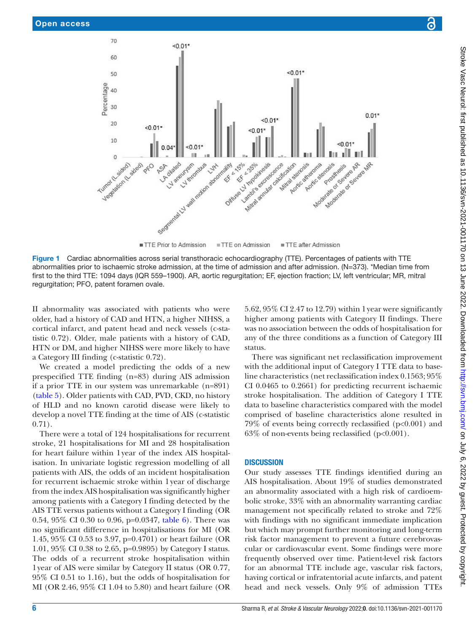

Figure 1 Cardiac abnormalities across serial transthoracic echocardiography (TTE). Percentages of patients with TTE abnormalities prior to ischaemic stroke admission, at the time of admission and after admission. (N=373). \*Median time from first to the third TTE: 1094 days (IQR 559–1900). AR, aortic regurgitation; EF, ejection fraction; LV, left ventricular; MR, mitral regurgitation; PFO, patent foramen ovale.

II abnormality was associated with patients who were older, had a history of CAD and HTN, a higher NIHSS, a cortical infarct, and patent head and neck vessels (c-statistic 0.72). Older, male patients with a history of CAD, HTN or DM, and higher NIHSS were more likely to have a Category III finding (c-statistic 0.72).

We created a model predicting the odds of a new prespecified TTE finding (n=83) during AIS admission if a prior TTE in our system was unremarkable (n=891) ([table](#page-8-0) 5). Older patients with CAD, PVD, CKD, no history of HLD and no known carotid disease were likely to develop a novel TTE finding at the time of AIS (c-statistic 0.71).

There were a total of 124 hospitalisations for recurrent stroke, 21 hospitalisations for MI and 28 hospitalisation for heart failure within 1year of the index AIS hospitalisation. In univariate logistic regression modelling of all patients with AIS, the odds of an incident hospitalisation for recurrent ischaemic stroke within 1year of discharge from the index AIS hospitalisation was significantly higher among patients with a Category I finding detected by the AIS TTE versus patients without a Category I finding (OR 0.54, 95% CI 0.30 to 0.96, p=0.0347, [table](#page-8-1) 6). There was no significant difference in hospitalisations for MI (OR 1.45, 95% CI 0.53 to 3.97, p=0.4701) or heart failure (OR 1.01, 95% CI 0.38 to 2.65, p=0.9895) by Category I status. The odds of a recurrent stroke hospitalisation within 1year of AIS were similar by Category II status (OR 0.77, 95% CI 0.51 to 1.16), but the odds of hospitalisation for MI (OR 2.46, 95% CI 1.04 to 5.80) and heart failure (OR

<span id="page-5-0"></span>5.62, 95% CI 2.47 to 12.79) within 1year were significantly higher among patients with Category II findings. There was no association between the odds of hospitalisation for any of the three conditions as a function of Category III status.

There was significant net reclassification improvement with the additional input of Category I TTE data to baseline characteristics (net reclassification index 0.1563; 95% CI 0.0465 to 0.2661) for predicting recurrent ischaemic stroke hospitalisation. The addition of Category I TTE data to baseline characteristics compared with the model comprised of baseline characteristics alone resulted in 79% of events being correctly reclassified (p<0.001) and  $63\%$  of non-events being reclassified (p<0.001).

## **DISCUSSION**

Our study assesses TTE findings identified during an AIS hospitalisation. About 19% of studies demonstrated an abnormality associated with a high risk of cardioembolic stroke, 33% with an abnormality warranting cardiac management not specifically related to stroke and 72% with findings with no significant immediate implication but which may prompt further monitoring and long-term risk factor management to prevent a future cerebrovascular or cardiovascular event. Some findings were more frequently observed over time. Patient-level risk factors for an abnormal TTE include age, vascular risk factors, having cortical or infratentorial acute infarcts, and patent head and neck vessels. Only 9% of admission TTEs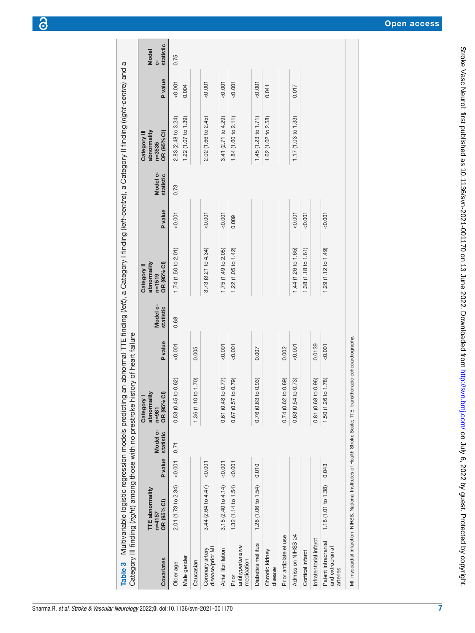|                                                     |                                              |         |                       | Category III finding (right) among those with no prestroke history of heart failure |                |                       |                                                         |                |                       | Table 3 Multivariable logistic regression models predicting an abnormal TTE finding (left), a Category I finding (left-centre), a Category II finding (right-centre) and a |         |                                 |
|-----------------------------------------------------|----------------------------------------------|---------|-----------------------|-------------------------------------------------------------------------------------|----------------|-----------------------|---------------------------------------------------------|----------------|-----------------------|----------------------------------------------------------------------------------------------------------------------------------------------------------------------------|---------|---------------------------------|
| Covariates                                          | TTE abnormality<br>OR (95% CI)<br>$n = 4157$ | P value | Model c-<br>statistic | abnormality<br>OR (95% CI)<br>Category<br>$n = 981$                                 | <b>P</b> value | Model c-<br>statistic | abnormality<br>OR (95% CI)<br>Category II<br>$n = 1519$ | <b>P</b> value | Model c-<br>statistic | abnormality<br>OR (95% CI)<br>Category III<br>$n = 3535$                                                                                                                   | P value | statistic<br><b>Model</b><br>ပံ |
| Older age                                           | 2.01 (1.73 to 2.34)                          | 0.007   | 0.71                  | to 0.62)<br>0.53 (0.45                                                              | 0.001          | 0.68                  | 1.74(1.50 to 2.01)                                      | 0.001          | 0.73                  | 2.83 (2.48 to 3.24)                                                                                                                                                        | 0.001   | 0.75                            |
| Male gender                                         |                                              |         |                       |                                                                                     |                |                       |                                                         |                |                       | $1.22$ (1.07 to 1.39)                                                                                                                                                      | 0.004   |                                 |
| Caucasian                                           |                                              |         |                       | to 1.70)<br>1.36 (1.10                                                              | 0.005          |                       |                                                         |                |                       |                                                                                                                                                                            |         |                                 |
| disease/prior MI<br>Coronary artery                 | 3.44 (2.64 to 4.47)                          | < 0.001 |                       |                                                                                     |                |                       | 3.73(3.21 to 4.34)                                      | 0.007          |                       | 2.02 (1.66 to 2.45)                                                                                                                                                        | 0.001   |                                 |
| Atrial fibrillation                                 | 3.15 $(2.40 \text{ to } 4.14)$ < 0.001       |         |                       | to 0.77)<br>0.61 (0.48                                                              | 0.001          |                       | 1.75(1.49 to 2.05)                                      | 0.001          |                       | 3.41 $(2.71 to 4.29)$                                                                                                                                                      | 0.001   |                                 |
| antihypertensive<br>medication<br>Prior             | 1.32 (1.14 to 1.54) < $0.001$                |         |                       | to 0.79)<br>0.67 (0.57                                                              | 0.001          |                       | 1.22 (1.05 to 1.42)                                     | 0.009          |                       | 1.84 (1.60 to 2.11)                                                                                                                                                        | 0.001   |                                 |
| Diabetes mellitus                                   | 1.28 (1.06 to 1.54)                          | 0.010   |                       | to 0.93)<br>0.76 (0.63                                                              | 0.007          |                       |                                                         |                |                       | 1.45(1.23 to 1.71)                                                                                                                                                         | < 0.001 |                                 |
| Chronic kidney<br>disease                           |                                              |         |                       |                                                                                     |                |                       |                                                         |                |                       | 1.62 (1.02 to 2.58)                                                                                                                                                        | 0.041   |                                 |
| Prior antiplatelet use                              |                                              |         |                       | to 0.89<br>0.74 (0.62                                                               | 0.002          |                       |                                                         |                |                       |                                                                                                                                                                            |         |                                 |
| Admission NIHSS 24                                  |                                              |         |                       | to 0.73<br>0.63 (0.54                                                               | 0.007          |                       | 1.44 (1.26 to 1.65)                                     | 0.007          |                       | 1.17(1.03 to 1.33)                                                                                                                                                         | 0.017   |                                 |
| Cortical infarct                                    |                                              |         |                       |                                                                                     |                |                       | 1.38 (1.18 to 1.61)                                     | 0.007          |                       |                                                                                                                                                                            |         |                                 |
| Infratentorial infarct                              |                                              |         |                       | to 0.96)<br>0.81 (0.68                                                              | 0.0139         |                       |                                                         |                |                       |                                                                                                                                                                            |         |                                 |
| Patent intracranial<br>and extracranial<br>arteries | 1.18 (1.01 to 1.38)                          | 0.043   |                       | to 1.78<br>1.50 (1.26                                                               | 0.001          |                       | 1.29 (1.12 to 1.49)                                     | 0.001          |                       |                                                                                                                                                                            |         |                                 |

7

MI, myocardial infarction; NIHSS, National Institutes of Health Stroke Scale; TTE, transthoracic echocardiography.

<span id="page-6-0"></span>MI, myocardial infarction; NIHSS, National Institutes of Health Stroke Scale; TTE, transthoracic echocardiography.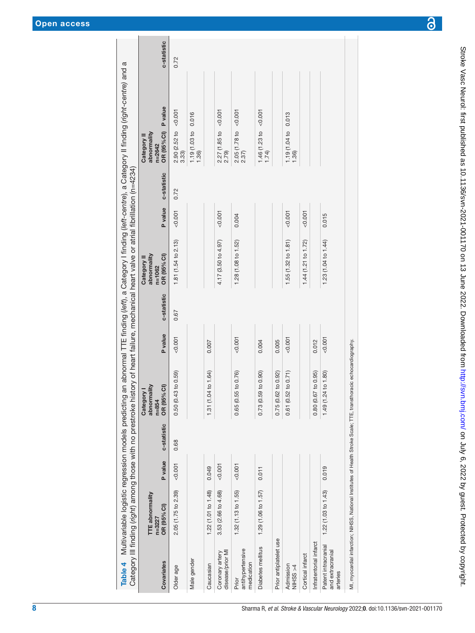<span id="page-7-0"></span>

|                                                     | TTE abnormality<br>$n = 3227$ |         |             | abnormality<br>Category I<br>$n = 854$                                                                             |                |             | abnormality<br>Category II<br>$n = 1062$ |         |             | abnormality<br>Category II<br>$n = 2642$ |                |             |
|-----------------------------------------------------|-------------------------------|---------|-------------|--------------------------------------------------------------------------------------------------------------------|----------------|-------------|------------------------------------------|---------|-------------|------------------------------------------|----------------|-------------|
| Covariates                                          | OR (95% CI)                   | P value | c-statistic | $\widehat{\sigma}$<br>OR (95%                                                                                      | <b>P</b> value | c-statistic | OR (95% CI)                              | P value | c-statistic | OR (95% CI)                              | <b>P</b> value | c-statistic |
| Older age                                           | 2.05 (1.75 to 2.39)           | &0.001  | 0.68        | to 0.59<br>0.50 (0.43                                                                                              | 0.007          | 0.67        | 1.81 (1.54 to 2.13)                      | 0.001   | 0.72        | 2.90 (2.52 to<br>3.33)                   | 50.007         | 0.72        |
| Male gender                                         |                               |         |             |                                                                                                                    |                |             |                                          |         |             | 1.19 (1.03 to 0.016<br>1.36)             |                |             |
| Caucasian                                           | 1.22 (1.01 to 1.48)           | 0.049   |             | to 1.64)<br>1.31 (1.04                                                                                             | 0.007          |             |                                          |         |             |                                          |                |             |
| disease/prior MI<br>Coronary artery                 | 3.53 (2.66 to 4.68)           | &0.001  |             |                                                                                                                    |                |             | 4.17 (3.50 to 4.97)                      | 0.001   |             | $2.27$ (1.85 to <0.001<br>2.79)          |                |             |
| antihypertensive<br>medication<br>Prior             | 1.32 (1.13 to 1.55)           | &0.001  |             | to 0.76)<br>0.65 (0.55                                                                                             | 0.001          |             | 1.28 (1.08 to 1.52)                      | 0.004   |             | 2.05(1.78 to < 0.001<br>2.37)            |                |             |
| Diabetes mellitus                                   | 1.29 (1.06 to 1.57)           | 0.011   |             | to 0.90<br>0.73 (0.59                                                                                              | 0.004          |             |                                          |         |             | 1.46 (1.23 to <0.001<br>1.74             |                |             |
| Prior antiplatelet use                              |                               |         |             | to 0.92)<br>0.75 (0.62                                                                                             | 0.005          |             |                                          |         |             |                                          |                |             |
| Admission<br>NIHSS<br>>4                            |                               |         |             | to 0.71<br>0.61 (0.52                                                                                              | 0.001          |             | 1.55(1.32 to 1.81)                       | < 0.001 |             | 1.19 (1.04 to 0.013<br>1.36)             |                |             |
| Cortical infarct                                    |                               |         |             |                                                                                                                    |                |             | 1.44 $(1.21$ to $1.72)$                  | 0.001   |             |                                          |                |             |
| Infratentorial infarct                              |                               |         |             | to 0.95<br>0.80 (0.67                                                                                              | 0.012          |             |                                          |         |             |                                          |                |             |
| Patent intracranial<br>and extracranial<br>arteries | 1.22 (1.03 to 1.43)           | 0.019   |             | to 1.80<br>1.49 (1.24                                                                                              | &0.001         |             | 1.23 (1.04 to 1.44)                      | 0.015   |             |                                          |                |             |
|                                                     |                               |         |             | MI, myocardial infarction; NIHSS, National Institutes of Health Stroke Scale; TTE, transthoracic echocardiography. |                |             |                                          |         |             |                                          |                |             |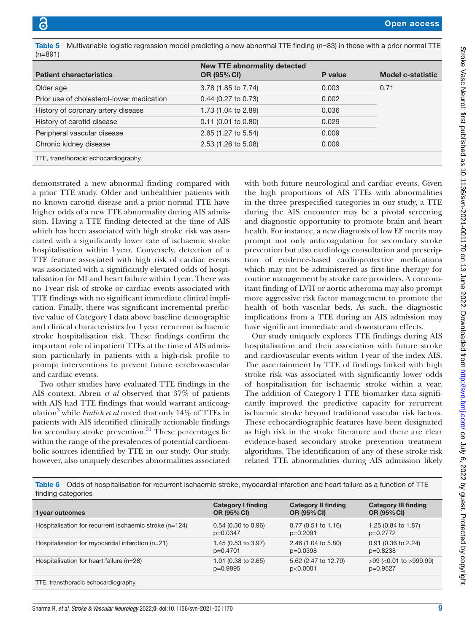<span id="page-8-0"></span>

| Table 5                     | Multiva |
|-----------------------------|---------|
| $\sim$ $\sim$ $\sim$ $\sim$ |         |

| <b>Patient characteristics</b>            | <b>New TTE abnormality detected</b><br><b>OR (95% CI)</b> | P value | <b>Model c-statistic</b> |
|-------------------------------------------|-----------------------------------------------------------|---------|--------------------------|
| Older age                                 | 3.78 (1.85 to 7.74)                                       | 0.003   | 0.71                     |
| Prior use of cholesterol-lower medication | $0.44$ (0.27 to 0.73)                                     | 0.002   |                          |
| History of coronary artery disease        | 1.73 (1.04 to 2.89)                                       | 0.036   |                          |
| History of carotid disease                | $0.11$ (0.01 to 0.80)                                     | 0.029   |                          |
| Peripheral vascular disease               | 2.65 (1.27 to 5.54)                                       | 0.009   |                          |
| Chronic kidney disease                    | 2.53 (1.26 to 5.08)                                       | 0.009   |                          |
| TTE, transthoracic echocardiography.      |                                                           |         |                          |
|                                           |                                                           |         |                          |

ariable logistic regression model predicting a new abnormal TTE finding (n=83) in those with a prior normal TTE  $(n=891)$ 

demonstrated a new abnormal finding compared with a prior TTE study. Older and unhealthier patients with no known carotid disease and a prior normal TTE have higher odds of a new TTE abnormality during AIS admission. Having a TTE finding detected at the time of AIS which has been associated with high stroke risk was associated with a significantly lower rate of ischaemic stroke hospitalisation within 1year. Conversely, detection of a TTE feature associated with high risk of cardiac events was associated with a significantly elevated odds of hospitalisation for MI and heart failure within 1year. There was no 1year risk of stroke or cardiac events associated with TTE findings with no significant immediate clinical implication. Finally, there was significant incremental predictive value of Category I data above baseline demographic and clinical characteristics for 1year recurrent ischaemic stroke hospitalisation risk. These findings confirm the important role of inpatient TTEs at the time of AIS admission particularly in patients with a high-risk profile to prompt interventions to prevent future cerebrovascular and cardiac events.

Two other studies have evaluated TTE findings in the AIS context. Abreu *et al* observed that 37% of patients with AIS had TTE findings that would warrant anticoagulation<sup>3</sup> while *Fralick et al* noted that only 14% of TTEs in patients with AIS identified clinically actionable findings for secondary stroke prevention. $31$  These percentages lie within the range of the prevalences of potential cardioembolic sources identified by TTE in our study. Our study, however, also uniquely describes abnormalities associated

with both future neurological and cardiac events. Given the high proportions of AIS TTEs with abnormalities in the three prespecified categories in our study, a TTE during the AIS encounter may be a pivotal screening and diagnostic opportunity to promote brain and heart health. For instance, a new diagnosis of low EF merits may prompt not only anticoagulation for secondary stroke prevention but also cardiology consultation and prescription of evidence-based cardioprotective medications which may not be administered as first-line therapy for routine management by stroke care providers. A concomitant finding of LVH or aortic atheroma may also prompt more aggressive risk factor management to promote the health of both vascular beds. As such, the diagnostic implications from a TTE during an AIS admission may have significant immediate and downstream effects.

Our study uniquely explores TTE findings during AIS hospitalisation and their association with future stroke and cardiovascular events within 1year of the index AIS. The ascertainment by TTE of findings linked with high stroke risk was associated with significantly lower odds of hospitalisation for ischaemic stroke within a year. The addition of Category I TTE biomarker data significantly improved the predictive capacity for recurrent ischaemic stroke beyond traditional vascular risk factors. These echocardiographic features have been designated as high risk in the stroke literature and there are clear evidence-based secondary stroke prevention treatment algorithms. The identification of any of these stroke risk related TTE abnormalities during AIS admission likely

<span id="page-8-1"></span>Table 6 Odds of hospitalisation for recurrent ischaemic stroke, myocardial infarction and heart failure as a function of TTE finding categories

| 1 year outcomes                                        | <b>Category I finding</b> | <b>Category II finding</b> | <b>Category III finding</b> |
|--------------------------------------------------------|---------------------------|----------------------------|-----------------------------|
|                                                        | <b>OR (95% CI)</b>        | OR (95% CI)                | <b>OR (95% CI)</b>          |
| Hospitalisation for recurrent ischaemic stroke (n=124) | $0.54$ (0.30 to 0.96)     | $0.77$ (0.51 to 1.16)      | 1.25 (0.84 to 1.87)         |
|                                                        | $p=0.0347$                | $p=0.2091$                 | p=0.2772                    |
| Hospitalisation for myocardial infarction (n=21)       | 1.45 (0.53 to 3.97)       | 2.46 (1.04 to 5.80)        | $0.91$ (0.36 to 2.24)       |
|                                                        | p=0.4701                  | $p=0.0398$                 | $p=0.8238$                  |
| Hospitalisation for heart failure (n=28)               | 1.01 (0.38 to 2.65)       | 5.62 (2.47 to 12.79)       | $>99$ (<0.01 to $>999.99$ ) |
|                                                        | $p=0.9895$                | p<0.0001                   | p=0.9527                    |
| TTE, transthoracic echocardiography.                   |                           |                            |                             |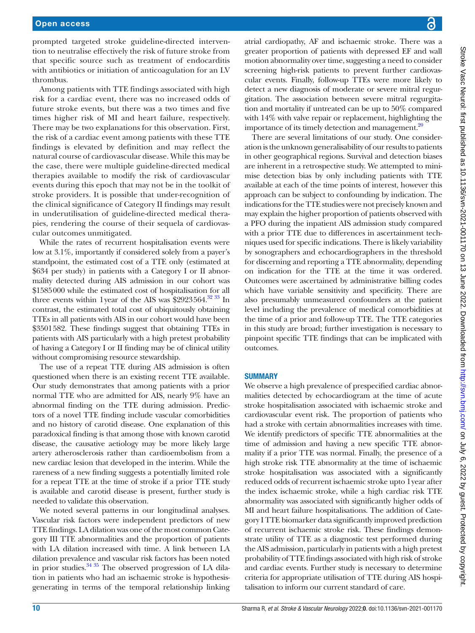prompted targeted stroke guideline-directed intervention to neutralise effectively the risk of future stroke from that specific source such as treatment of endocarditis with antibiotics or initiation of anticoagulation for an LV thrombus.

Among patients with TTE findings associated with high risk for a cardiac event, there was no increased odds of future stroke events, but there was a two times and five times higher risk of MI and heart failure, respectively. There may be two explanations for this observation. First, the risk of a cardiac event among patients with these TTE findings is elevated by definition and may reflect the natural course of cardiovascular disease. While this may be the case, there were multiple guideline-directed medical therapies available to modify the risk of cardiovascular events during this epoch that may not be in the toolkit of stroke providers. It is possible that under-recognition of the clinical significance of Category II findings may result in underutilisation of guideline-directed medical therapies, rendering the course of their sequela of cardiovascular outcomes unmitigated.

While the rates of recurrent hospitalisation events were low at 3.1%, importantly if considered solely from a payer's standpoint, the estimated cost of a TTE only (estimated at \$634 per study) in patients with a Category I or II abnormality detected during AIS admission in our cohort was \$1585000 while the estimated cost of hospitalisation for all three events within 1year of the AIS was \$2923564.<sup>32 33</sup> In contrast, the estimated total cost of ubiquitously obtaining TTEs in all patients with AIS in our cohort would have been \$3501582. These findings suggest that obtaining TTEs in patients with AIS particularly with a high pretest probability of having a Category I or II finding may be of clinical utility without compromising resource stewardship.

The use of a repeat TTE during AIS admission is often questioned when there is an existing recent TTE available. Our study demonstrates that among patients with a prior normal TTE who are admitted for AIS, nearly 9% have an abnormal finding on the TTE during admission. Predictors of a novel TTE finding include vascular comorbidities and no history of carotid disease. One explanation of this paradoxical finding is that among those with known carotid disease, the causative aetiology may be more likely large artery atherosclerosis rather than cardioembolism from a new cardiac lesion that developed in the interim. While the rareness of a new finding suggests a potentially limited role for a repeat TTE at the time of stroke if a prior TTE study is available and carotid disease is present, further study is needed to validate this observation.

We noted several patterns in our longitudinal analyses. Vascular risk factors were independent predictors of new TTE findings. LA dilation was one of the most common Category III TTE abnormalities and the proportion of patients with LA dilation increased with time. A link between LA dilation prevalence and vascular risk factors has been noted in prior studies.<sup>34 35</sup> The observed progression of LA dilation in patients who had an ischaemic stroke is hypothesisgenerating in terms of the temporal relationship linking

atrial cardiopathy, AF and ischaemic stroke. There was a greater proportion of patients with depressed EF and wall motion abnormality over time, suggesting a need to consider screening high-risk patients to prevent further cardiovascular events. Finally, follow-up TTEs were more likely to detect a new diagnosis of moderate or severe mitral regurgitation. The association between severe mitral regurgitation and mortality if untreated can be up to 50% compared with 14% with valve repair or replacement, highlighting the importance of its timely detection and management.<sup>20</sup>

There are several limitations of our study. One consideration is the unknown generalisability of our results to patients in other geographical regions. Survival and detection biases are inherent in a retrospective study. We attempted to minimise detection bias by only including patients with TTE available at each of the time points of interest, however this approach can be subject to confounding by indication. The indications for the TTE studies were not precisely known and may explain the higher proportion of patients observed with a PFO during the inpatient AIS admission study compared with a prior TTE due to differences in ascertainment techniques used for specific indications. There is likely variability by sonographers and echocardiographers in the threshold for discerning and reporting a TTE abnormality, depending on indication for the TTE at the time it was ordered. Outcomes were ascertained by administrative billing codes which have variable sensitivity and specificity. There are also presumably unmeasured confounders at the patient level including the prevalence of medical comorbidities at the time of a prior and follow-up TTE. The TTE categories in this study are broad; further investigation is necessary to pinpoint specific TTE findings that can be implicated with outcomes.

## **SUMMARY**

We observe a high prevalence of prespecified cardiac abnormalities detected by echocardiogram at the time of acute stroke hospitalisation associated with ischaemic stroke and cardiovascular event risk. The proportion of patients who had a stroke with certain abnormalities increases with time. We identify predictors of specific TTE abnormalities at the time of admission and having a new specific TTE abnormality if a prior TTE was normal. Finally, the presence of a high stroke risk TTE abnormality at the time of ischaemic stroke hospitalisation was associated with a significantly reduced odds of recurrent ischaemic stroke upto 1year after the index ischaemic stroke, while a high cardiac risk TTE abnormality was associated with significantly higher odds of MI and heart failure hospitalisations. The addition of Category I TTE biomarker data significantly improved prediction of recurrent ischaemic stroke risk. These findings demonstrate utility of TTE as a diagnostic test performed during the AIS admission, particularly in patients with a high pretest probability of TTE findings associated with high risk of stroke and cardiac events. Further study is necessary to determine criteria for appropriate utilisation of TTE during AIS hospitalisation to inform our current standard of care.